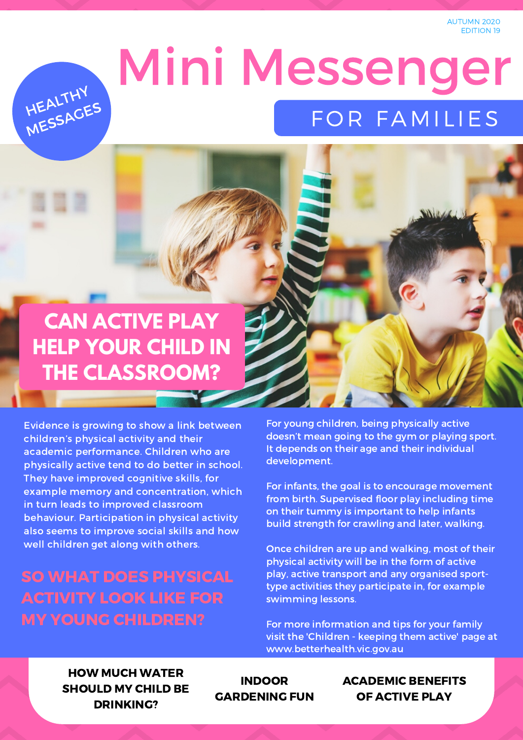AUTUMN 2020 EDITION 19



# Mini Messenger FOR FAMILIES

## **CAN ACTIVE PLAY HELP YOUR CHILD IN THE CLASSROOM?**

Evidence is growing to show a link between children's physical activity and their academic performance. Children who are physically active tend to do better in school. They have improved cognitive skills, for example memory and concentration, which in turn leads to improved classroom behaviour. Participation in physical activity also seems to improve social skills and how well children get along with others.

### SO WHAT DOES PHYSICAL ACTIVITY LOOK LIKE FOR MY YOUNG CHILDREN?

For young children, being physically active doesn't mean going to the gym or playing sport. It depends on their age and their individual [development.](https://www.betterhealth.vic.gov.au/health/healthyliving/children-keeping-them-active)

For infants, the goal is to encourage movement from birth. Supervised floor play including time on their tummy is important to help infants build strength for crawling and later, walking.

Once children are up and walking, most of their physical activity will be in the form of active play, active transport and any organised sporttype activities they participate in, for example swimming lessons.

For more information and tips for your family visit the 'Children - keeping them active' page at www.betterhealth.vic.gov.au

#### HOW MUCH WATER SHOULD MY CHILD BE DRINKING?

INDOOR GARDENING FUN ACADEMIC BENEFITS OF ACTIVE PLAY